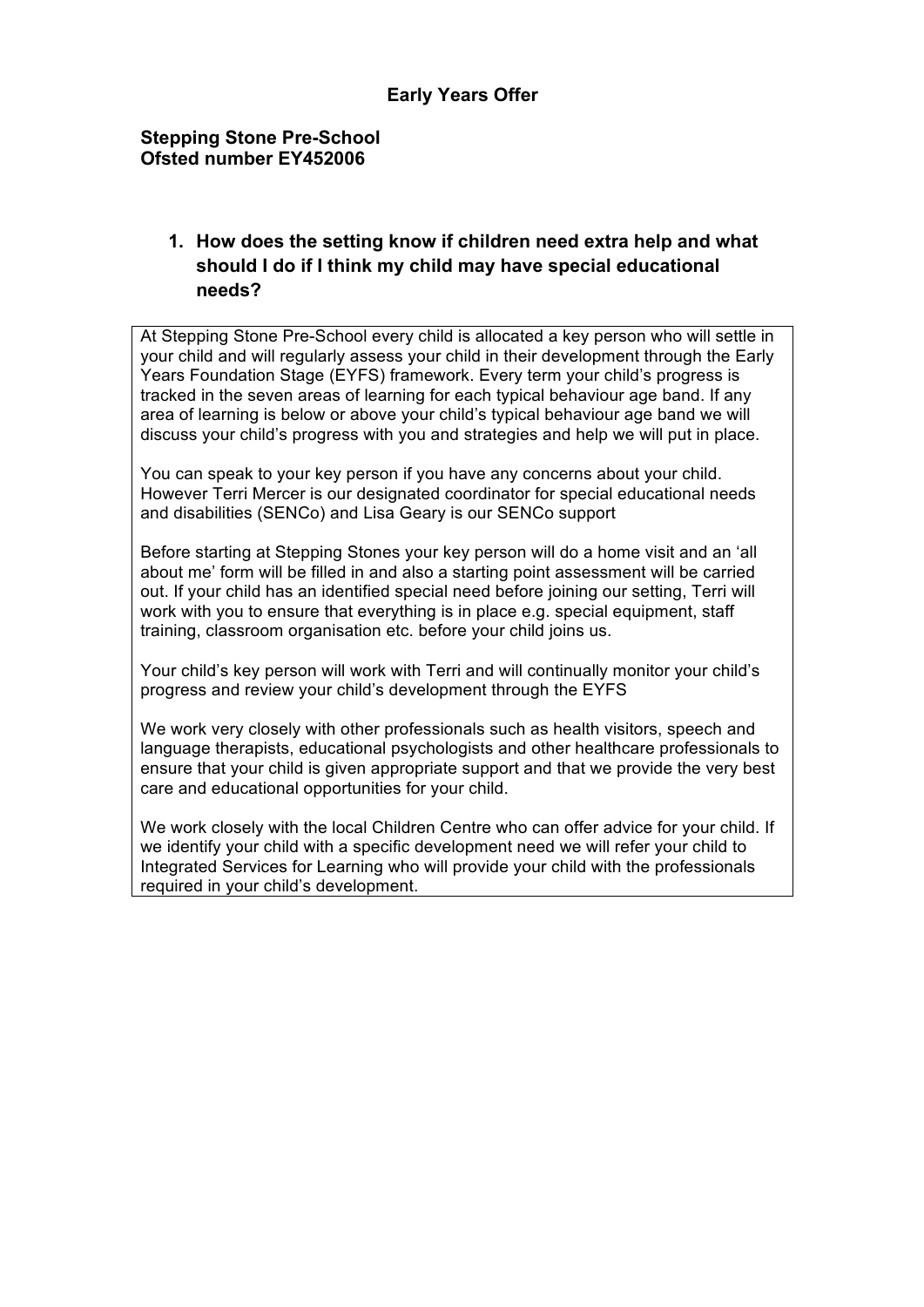#### **Stepping Stone Pre-School Ofsted number EY452006**

# **1. How does the setting know if children need extra help and what should I do if I think my child may have special educational needs?**

At Stepping Stone Pre-School every child is allocated a key person who will settle in your child and will regularly assess your child in their development through the Early Years Foundation Stage (EYFS) framework. Every term your child's progress is tracked in the seven areas of learning for each typical behaviour age band. If any area of learning is below or above your child's typical behaviour age band we will discuss your child's progress with you and strategies and help we will put in place.

You can speak to your key person if you have any concerns about your child. However Terri Mercer is our designated coordinator for special educational needs and disabilities (SENCo) and Lisa Geary is our SENCo support

Before starting at Stepping Stones your key person will do a home visit and an 'all about me' form will be filled in and also a starting point assessment will be carried out. If your child has an identified special need before joining our setting, Terri will work with you to ensure that everything is in place e.g. special equipment, staff training, classroom organisation etc. before your child joins us.

Your child's key person will work with Terri and will continually monitor your child's progress and review your child's development through the EYFS

We work very closely with other professionals such as health visitors, speech and language therapists, educational psychologists and other healthcare professionals to ensure that your child is given appropriate support and that we provide the very best care and educational opportunities for your child.

We work closely with the local Children Centre who can offer advice for your child. If we identify your child with a specific development need we will refer your child to Integrated Services for Learning who will provide your child with the professionals required in your child's development.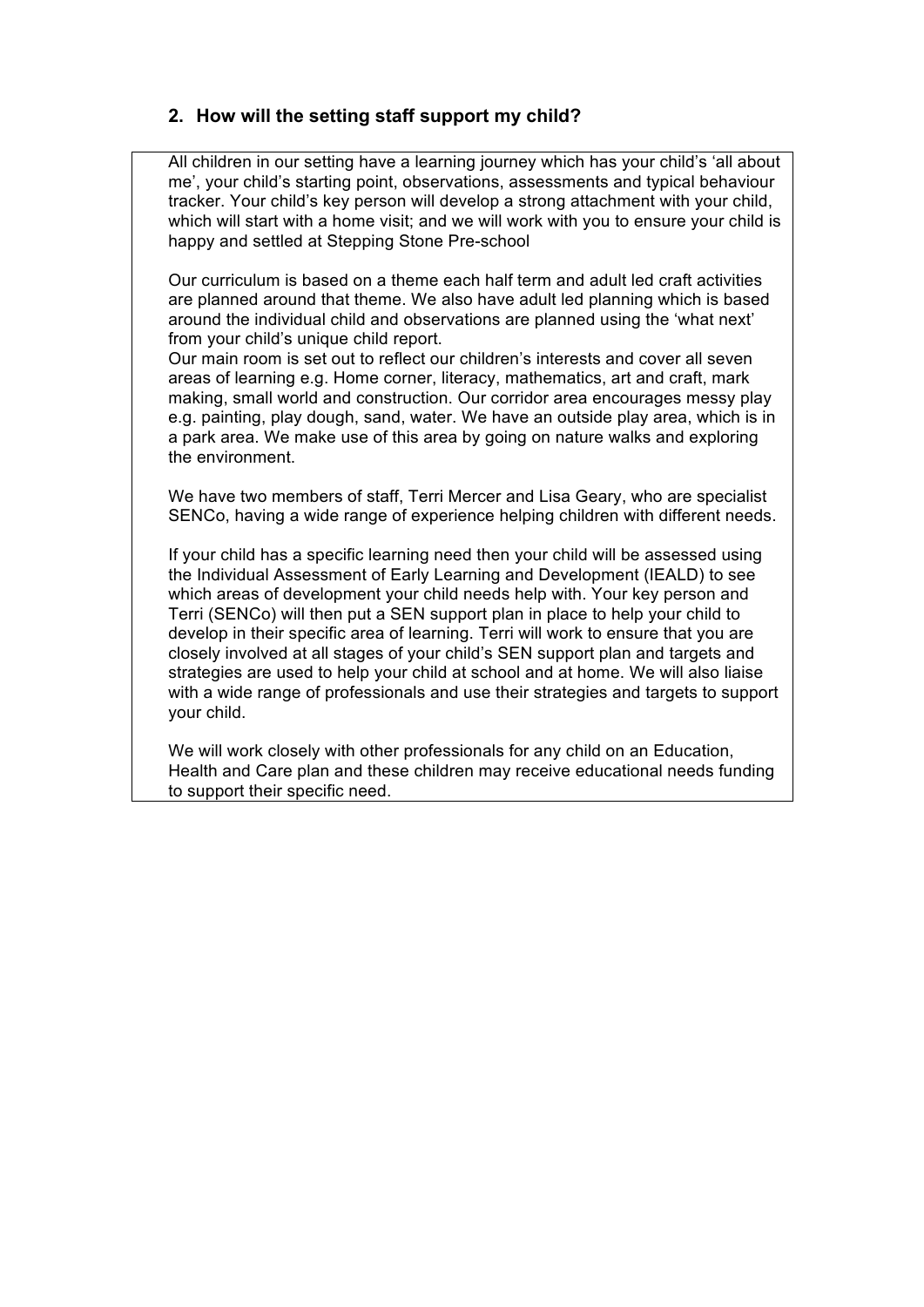# **2. How will the setting staff support my child?**

All children in our setting have a learning journey which has your child's 'all about me', your child's starting point, observations, assessments and typical behaviour tracker. Your child's key person will develop a strong attachment with your child, which will start with a home visit; and we will work with you to ensure your child is happy and settled at Stepping Stone Pre-school

Our curriculum is based on a theme each half term and adult led craft activities are planned around that theme. We also have adult led planning which is based around the individual child and observations are planned using the 'what next' from your child's unique child report.

Our main room is set out to reflect our children's interests and cover all seven areas of learning e.g. Home corner, literacy, mathematics, art and craft, mark making, small world and construction. Our corridor area encourages messy play e.g. painting, play dough, sand, water. We have an outside play area, which is in a park area. We make use of this area by going on nature walks and exploring the environment.

We have two members of staff, Terri Mercer and Lisa Geary, who are specialist SENCo, having a wide range of experience helping children with different needs.

If your child has a specific learning need then your child will be assessed using the Individual Assessment of Early Learning and Development (IEALD) to see which areas of development your child needs help with. Your key person and Terri (SENCo) will then put a SEN support plan in place to help your child to develop in their specific area of learning. Terri will work to ensure that you are closely involved at all stages of your child's SEN support plan and targets and strategies are used to help your child at school and at home. We will also liaise with a wide range of professionals and use their strategies and targets to support your child.

We will work closely with other professionals for any child on an Education, Health and Care plan and these children may receive educational needs funding to support their specific need.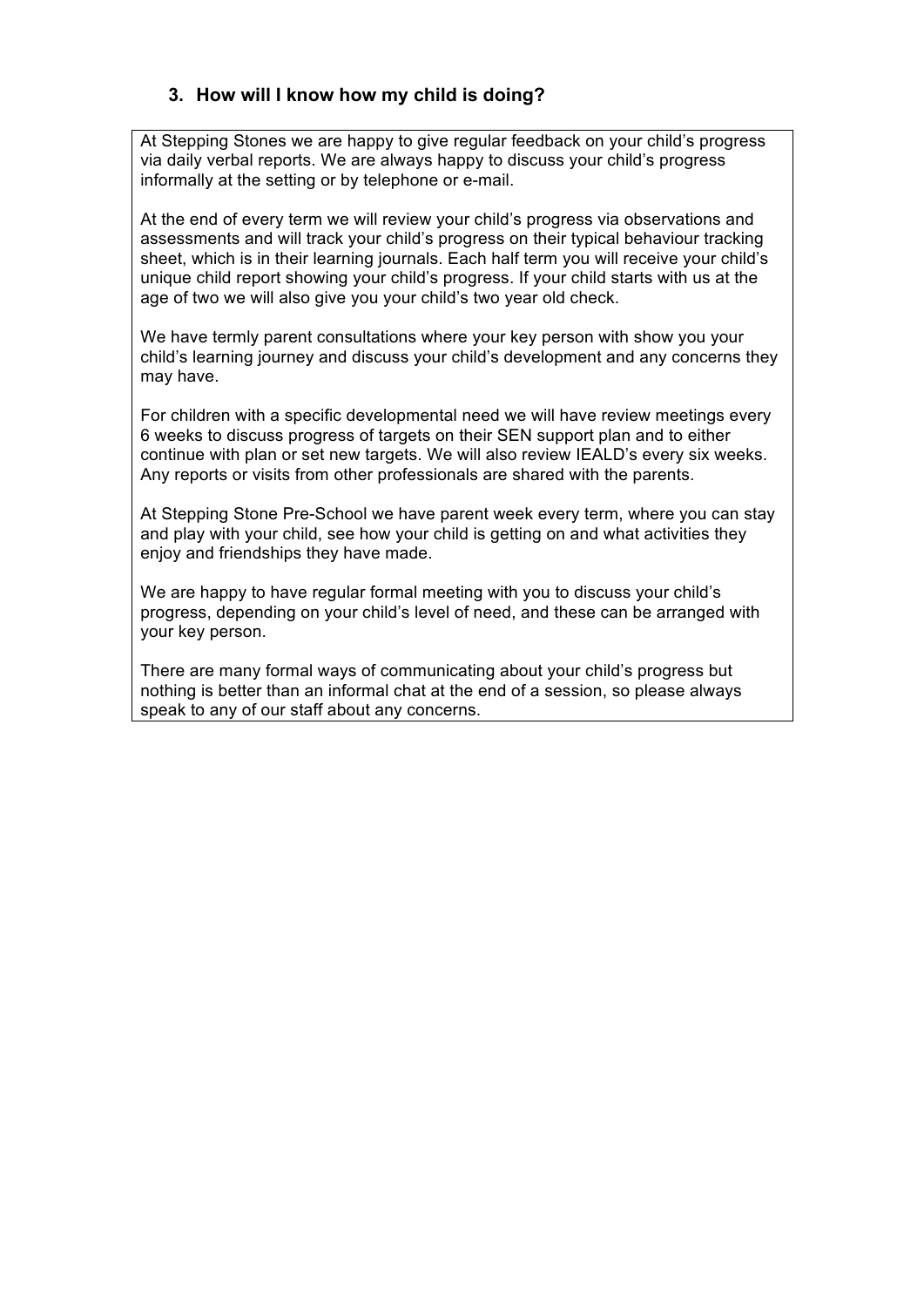### **3. How will I know how my child is doing?**

At Stepping Stones we are happy to give regular feedback on your child's progress via daily verbal reports. We are always happy to discuss your child's progress informally at the setting or by telephone or e-mail.

At the end of every term we will review your child's progress via observations and assessments and will track your child's progress on their typical behaviour tracking sheet, which is in their learning journals. Each half term you will receive your child's unique child report showing your child's progress. If your child starts with us at the age of two we will also give you your child's two year old check.

We have termly parent consultations where your key person with show you your child's learning journey and discuss your child's development and any concerns they may have.

For children with a specific developmental need we will have review meetings every 6 weeks to discuss progress of targets on their SEN support plan and to either continue with plan or set new targets. We will also review IEALD's every six weeks. Any reports or visits from other professionals are shared with the parents.

At Stepping Stone Pre-School we have parent week every term, where you can stay and play with your child, see how your child is getting on and what activities they enjoy and friendships they have made.

We are happy to have regular formal meeting with you to discuss your child's progress, depending on your child's level of need, and these can be arranged with your key person.

There are many formal ways of communicating about your child's progress but nothing is better than an informal chat at the end of a session, so please always speak to any of our staff about any concerns.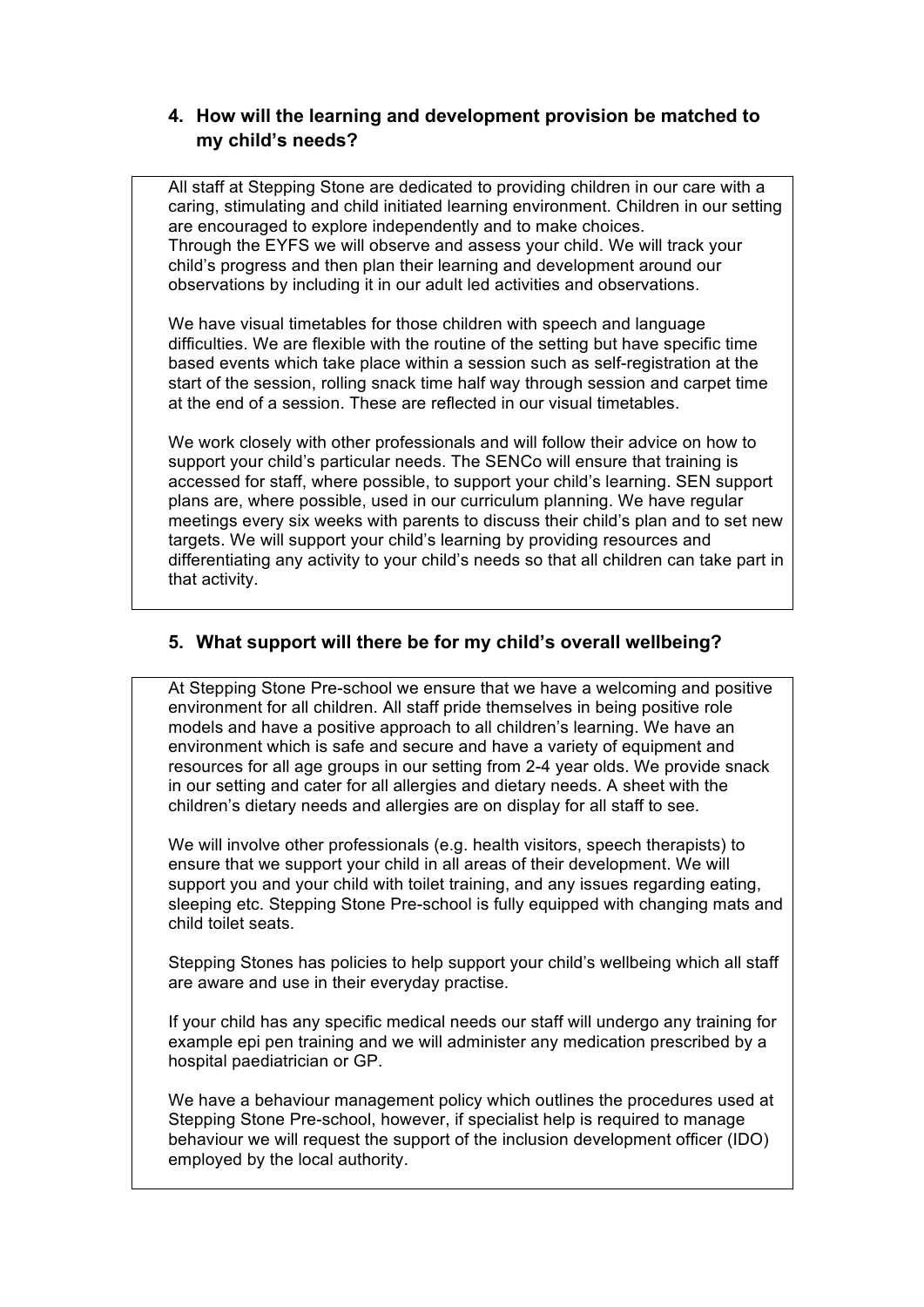### **4. How will the learning and development provision be matched to my child's needs?**

All staff at Stepping Stone are dedicated to providing children in our care with a caring, stimulating and child initiated learning environment. Children in our setting are encouraged to explore independently and to make choices. Through the EYFS we will observe and assess your child. We will track your child's progress and then plan their learning and development around our observations by including it in our adult led activities and observations.

We have visual timetables for those children with speech and language difficulties. We are flexible with the routine of the setting but have specific time based events which take place within a session such as self-registration at the start of the session, rolling snack time half way through session and carpet time at the end of a session. These are reflected in our visual timetables.

We work closely with other professionals and will follow their advice on how to support your child's particular needs. The SENCo will ensure that training is accessed for staff, where possible, to support your child's learning. SEN support plans are, where possible, used in our curriculum planning. We have regular meetings every six weeks with parents to discuss their child's plan and to set new targets. We will support your child's learning by providing resources and differentiating any activity to your child's needs so that all children can take part in that activity.

### **5. What support will there be for my child's overall wellbeing?**

At Stepping Stone Pre-school we ensure that we have a welcoming and positive environment for all children. All staff pride themselves in being positive role models and have a positive approach to all children's learning. We have an environment which is safe and secure and have a variety of equipment and resources for all age groups in our setting from 2-4 year olds. We provide snack in our setting and cater for all allergies and dietary needs. A sheet with the children's dietary needs and allergies are on display for all staff to see.

We will involve other professionals (e.g. health visitors, speech therapists) to ensure that we support your child in all areas of their development. We will support you and your child with toilet training, and any issues regarding eating, sleeping etc. Stepping Stone Pre-school is fully equipped with changing mats and child toilet seats.

Stepping Stones has policies to help support your child's wellbeing which all staff are aware and use in their everyday practise.

If your child has any specific medical needs our staff will undergo any training for example epi pen training and we will administer any medication prescribed by a hospital paediatrician or GP.

We have a behaviour management policy which outlines the procedures used at Stepping Stone Pre-school, however, if specialist help is required to manage behaviour we will request the support of the inclusion development officer (IDO) employed by the local authority.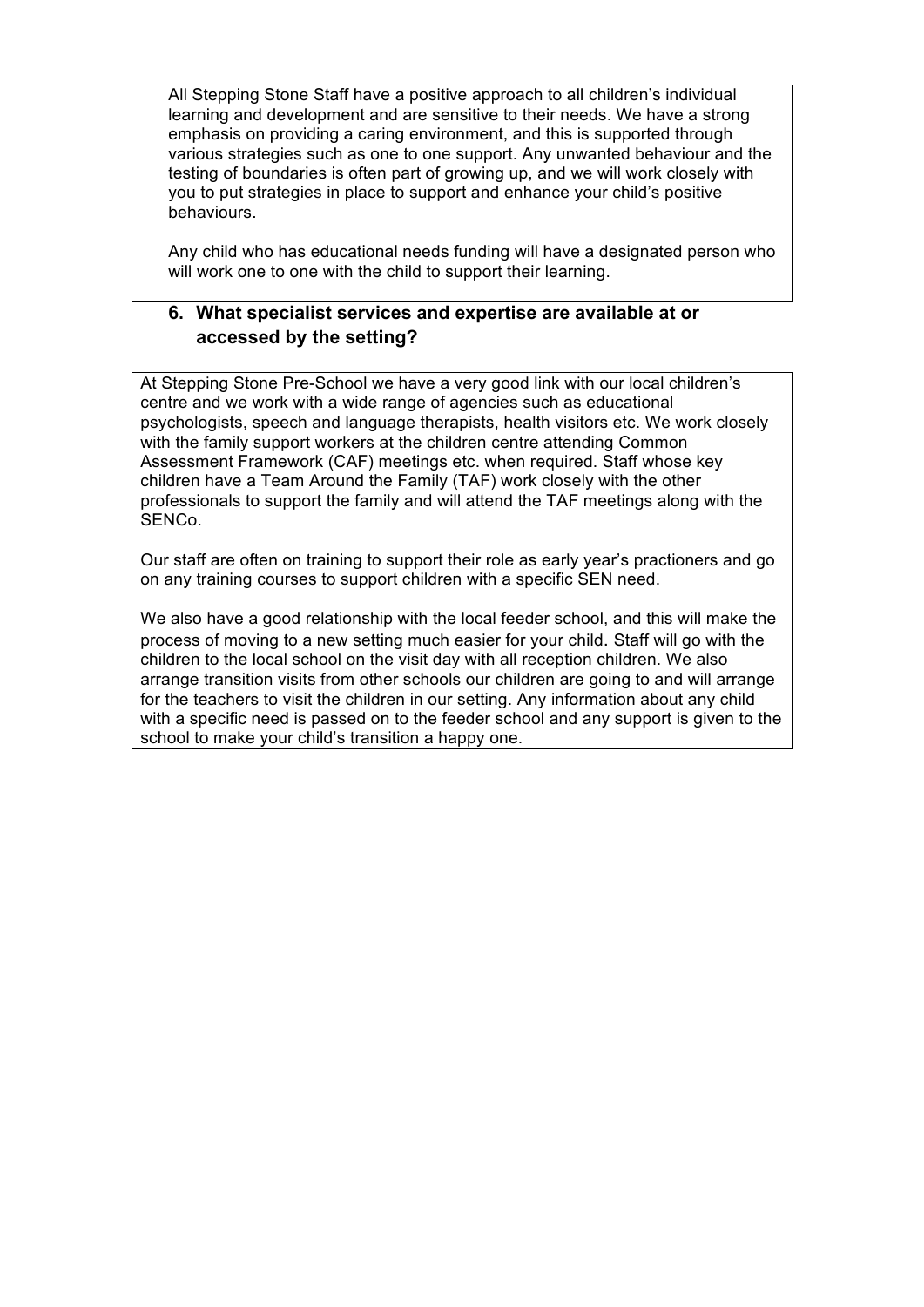All Stepping Stone Staff have a positive approach to all children's individual learning and development and are sensitive to their needs. We have a strong emphasis on providing a caring environment, and this is supported through various strategies such as one to one support. Any unwanted behaviour and the testing of boundaries is often part of growing up, and we will work closely with you to put strategies in place to support and enhance your child's positive behaviours.

Any child who has educational needs funding will have a designated person who will work one to one with the child to support their learning.

### **6. What specialist services and expertise are available at or accessed by the setting?**

At Stepping Stone Pre-School we have a very good link with our local children's centre and we work with a wide range of agencies such as educational psychologists, speech and language therapists, health visitors etc. We work closely with the family support workers at the children centre attending Common Assessment Framework (CAF) meetings etc. when required. Staff whose key children have a Team Around the Family (TAF) work closely with the other professionals to support the family and will attend the TAF meetings along with the SENCo.

Our staff are often on training to support their role as early year's practioners and go on any training courses to support children with a specific SEN need.

We also have a good relationship with the local feeder school, and this will make the process of moving to a new setting much easier for your child. Staff will go with the children to the local school on the visit day with all reception children. We also arrange transition visits from other schools our children are going to and will arrange for the teachers to visit the children in our setting. Any information about any child with a specific need is passed on to the feeder school and any support is given to the school to make your child's transition a happy one.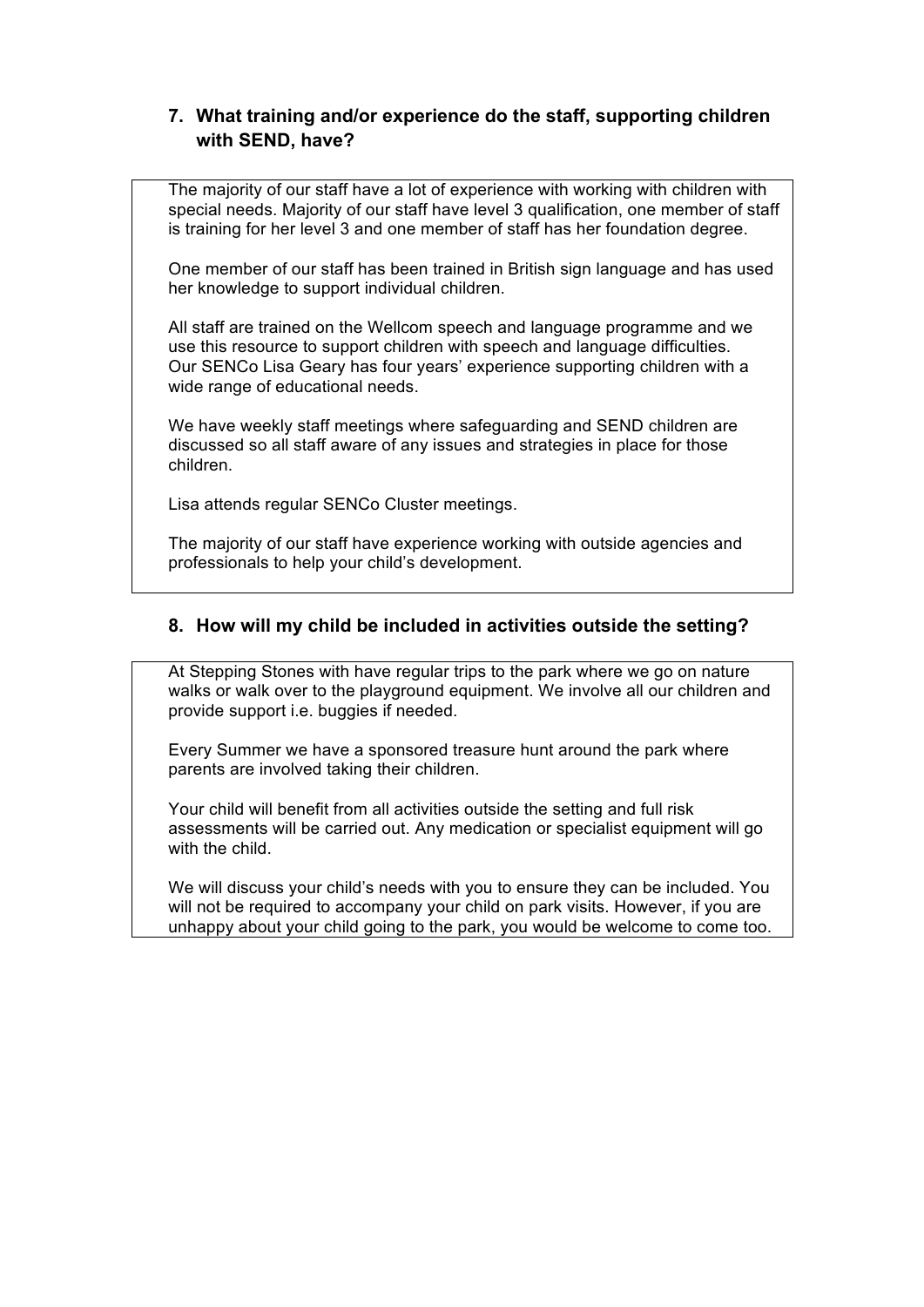# **7. What training and/or experience do the staff, supporting children with SEND, have?**

The majority of our staff have a lot of experience with working with children with special needs. Majority of our staff have level 3 qualification, one member of staff is training for her level 3 and one member of staff has her foundation degree.

One member of our staff has been trained in British sign language and has used her knowledge to support individual children.

All staff are trained on the Wellcom speech and language programme and we use this resource to support children with speech and language difficulties. Our SENCo Lisa Geary has four years' experience supporting children with a wide range of educational needs.

We have weekly staff meetings where safeguarding and SEND children are discussed so all staff aware of any issues and strategies in place for those children.

Lisa attends regular SENCo Cluster meetings.

The majority of our staff have experience working with outside agencies and professionals to help your child's development.

#### **8. How will my child be included in activities outside the setting?**

At Stepping Stones with have regular trips to the park where we go on nature walks or walk over to the playground equipment. We involve all our children and provide support i.e. buggies if needed.

Every Summer we have a sponsored treasure hunt around the park where parents are involved taking their children.

Your child will benefit from all activities outside the setting and full risk assessments will be carried out. Any medication or specialist equipment will go with the child.

We will discuss your child's needs with you to ensure they can be included. You will not be required to accompany your child on park visits. However, if you are unhappy about your child going to the park, you would be welcome to come too.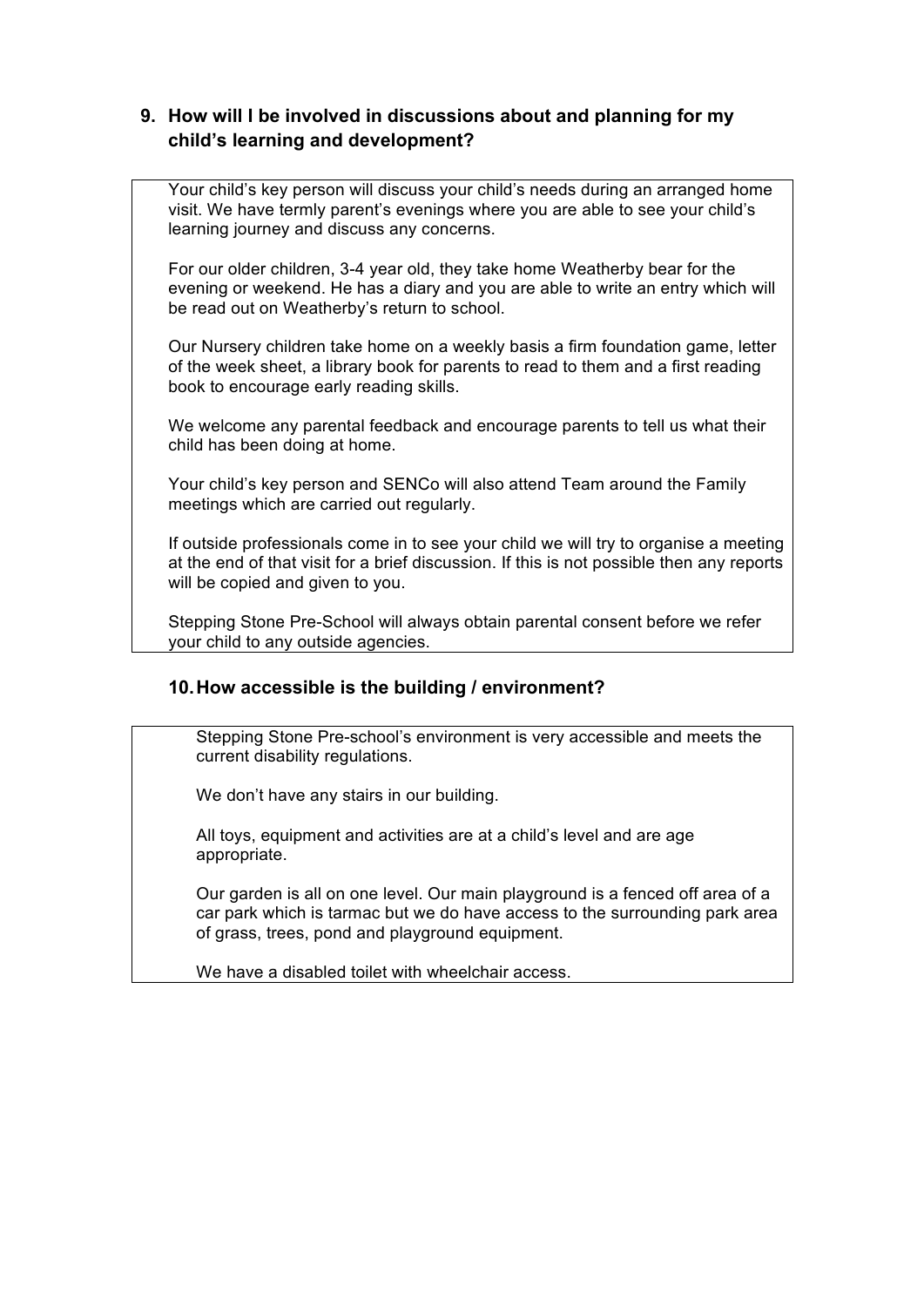# **9. How will I be involved in discussions about and planning for my child's learning and development?**

Your child's key person will discuss your child's needs during an arranged home visit. We have termly parent's evenings where you are able to see your child's learning journey and discuss any concerns.

For our older children, 3-4 year old, they take home Weatherby bear for the evening or weekend. He has a diary and you are able to write an entry which will be read out on Weatherby's return to school.

Our Nursery children take home on a weekly basis a firm foundation game, letter of the week sheet, a library book for parents to read to them and a first reading book to encourage early reading skills.

We welcome any parental feedback and encourage parents to tell us what their child has been doing at home.

Your child's key person and SENCo will also attend Team around the Family meetings which are carried out regularly.

If outside professionals come in to see your child we will try to organise a meeting at the end of that visit for a brief discussion. If this is not possible then any reports will be copied and given to you.

Stepping Stone Pre-School will always obtain parental consent before we refer your child to any outside agencies.

# **10.How accessible is the building / environment?**

Stepping Stone Pre-school's environment is very accessible and meets the current disability regulations.

We don't have any stairs in our building.

All toys, equipment and activities are at a child's level and are age appropriate.

Our garden is all on one level. Our main playground is a fenced off area of a car park which is tarmac but we do have access to the surrounding park area of grass, trees, pond and playground equipment.

We have a disabled toilet with wheelchair access.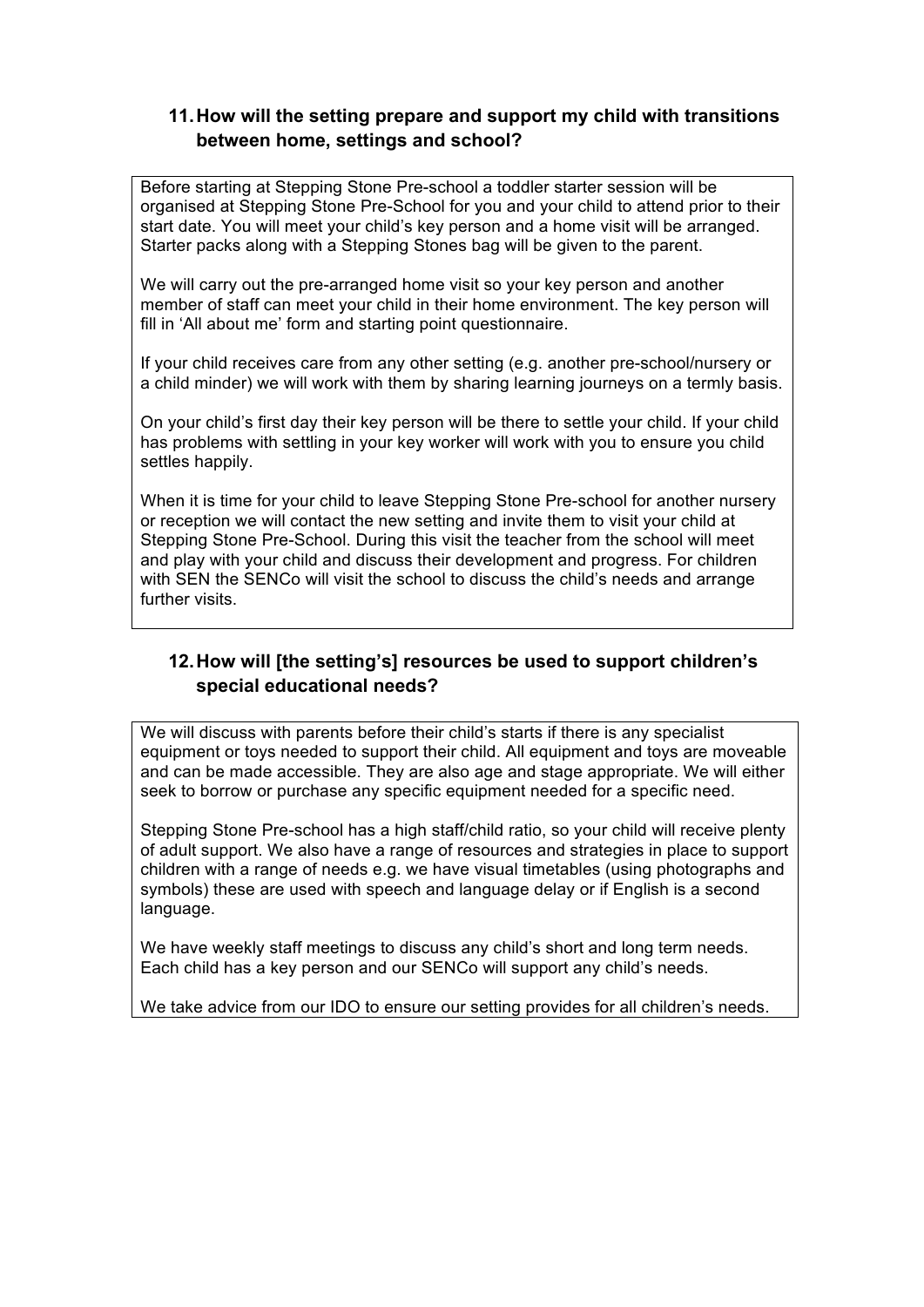# **11.How will the setting prepare and support my child with transitions between home, settings and school?**

Before starting at Stepping Stone Pre-school a toddler starter session will be organised at Stepping Stone Pre-School for you and your child to attend prior to their start date. You will meet your child's key person and a home visit will be arranged. Starter packs along with a Stepping Stones bag will be given to the parent.

We will carry out the pre-arranged home visit so your key person and another member of staff can meet your child in their home environment. The key person will fill in 'All about me' form and starting point questionnaire.

If your child receives care from any other setting (e.g. another pre-school/nursery or a child minder) we will work with them by sharing learning journeys on a termly basis.

On your child's first day their key person will be there to settle your child. If your child has problems with settling in your key worker will work with you to ensure you child settles happily.

When it is time for your child to leave Stepping Stone Pre-school for another nursery or reception we will contact the new setting and invite them to visit your child at Stepping Stone Pre-School. During this visit the teacher from the school will meet and play with your child and discuss their development and progress. For children with SEN the SENCo will visit the school to discuss the child's needs and arrange further visits.

# **12.How will [the setting's] resources be used to support children's special educational needs?**

We will discuss with parents before their child's starts if there is any specialist equipment or toys needed to support their child. All equipment and toys are moveable and can be made accessible. They are also age and stage appropriate. We will either seek to borrow or purchase any specific equipment needed for a specific need.

Stepping Stone Pre-school has a high staff/child ratio, so your child will receive plenty of adult support. We also have a range of resources and strategies in place to support children with a range of needs e.g. we have visual timetables (using photographs and symbols) these are used with speech and language delay or if English is a second language.

We have weekly staff meetings to discuss any child's short and long term needs. Each child has a key person and our SENCo will support any child's needs.

We take advice from our IDO to ensure our setting provides for all children's needs.